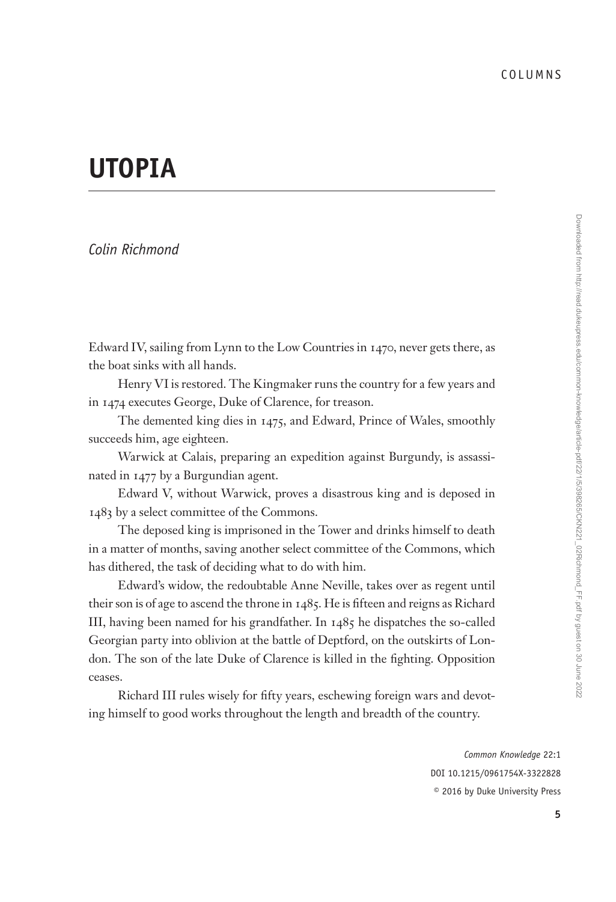## **UTOPIA**

## *Colin Richmond*

Edward IV, sailing from Lynn to the Low Countries in 1470, never gets there, as the boat sinks with all hands.

Henry VI is restored. The Kingmaker runs the country for a few years and in 1474 executes George, Duke of Clarence, for treason.

The demented king dies in 1475, and Edward, Prince of Wales, smoothly succeeds him, age eighteen.

Warwick at Calais, preparing an expedition against Burgundy, is assassinated in 1477 by a Burgundian agent.

Edward V, without Warwick, proves a disastrous king and is deposed in 1483 by a select committee of the Commons.

The deposed king is imprisoned in the Tower and drinks himself to death in a matter of months, saving another select committee of the Commons, which has dithered, the task of deciding what to do with him.

Edward's widow, the redoubtable Anne Neville, takes over as regent until their son is of age to ascend the throne in 1485. He is fifteen and reigns as Richard III, having been named for his grandfather. In 1485 he dispatches the so-called Georgian party into oblivion at the battle of Deptford, on the outskirts of London. The son of the late Duke of Clarence is killed in the fighting. Opposition ceases.

Richard III rules wisely for fifty years, eschewing foreign wars and devoting himself to good works throughout the length and breadth of the country.

> *Common Knowledge* 22:1 DOI 10.1215/0961754X-3322828 © 2016 by Duke University Press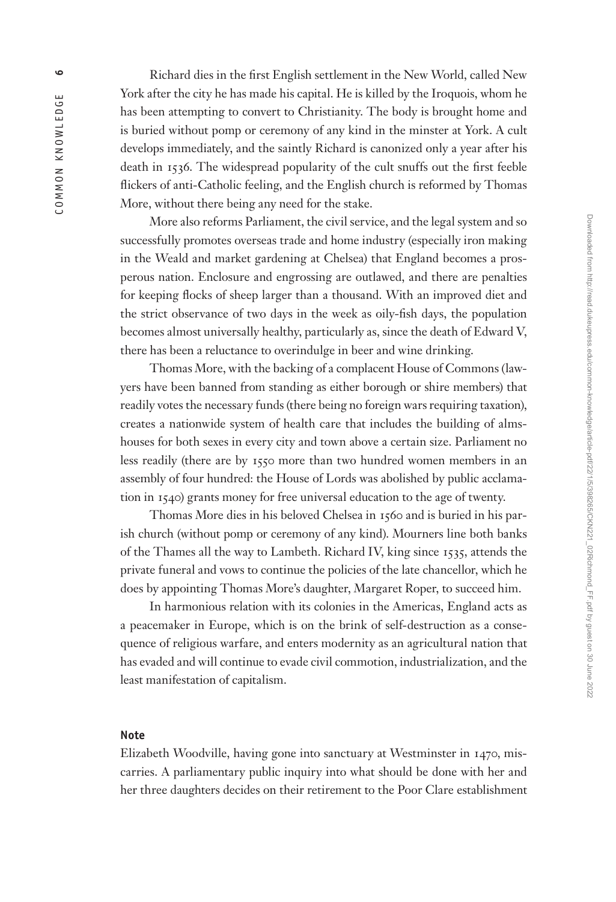Richard dies in the first English settlement in the New World, called New York after the city he has made his capital. He is killed by the Iroquois, whom he has been attempting to convert to Christianity. The body is brought home and is buried without pomp or ceremony of any kind in the minster at York. A cult develops immediately, and the saintly Richard is canonized only a year after his death in 1536. The widespread popularity of the cult snuffs out the first feeble flickers of anti-Catholic feeling, and the English church is reformed by Thomas More, without there being any need for the stake.

More also reforms Parliament, the civil service, and the legal system and so successfully promotes overseas trade and home industry (especially iron making in the Weald and market gardening at Chelsea) that England becomes a pros perous nation. Enclosure and engrossing are outlawed, and there are penalties for keeping flocks of sheep larger than a thousand. With an improved diet and the strict observance of two days in the week as oily-fish days, the population becomes almost universally healthy, particularly as, since the death of Edward V, there has been a reluctance to overindulge in beer and wine drinking.

Thomas More, with the backing of a complacent House of Commons (law yers have been banned from standing as either borough or shire members) that readily votes the necessary funds (there being no foreign wars requiring taxation), creates a nationwide system of health care that includes the building of alms houses for both sexes in every city and town above a certain size. Parliament no less readily (there are by 1550 more than two hundred women members in an assembly of four hundred: the House of Lords was abolished by public acclama tion in 1540) grants money for free universal education to the age of twenty.

Thomas More dies in his beloved Chelsea in 1560 and is buried in his par ish church (without pomp or ceremony of any kind). Mourners line both banks of the Thames all the way to Lambeth. Richard IV, king since 1535, attends the private funeral and vows to continue the policies of the late chancellor, which he does by appointing Thomas More's daughter, Margaret Roper, to succeed him.

In harmonious relation with its colonies in the Americas, England acts as a peacemaker in Europe, which is on the brink of self-destruction as a conse quence of religious warfare, and enters modernity as an agricultural nation that has evaded and will continue to evade civil commotion, industrialization, and the least manifestation of capitalism.

## **Note**

Elizabeth Woodville, having gone into sanctuary at Westminster in 1470, mis carries. A parliamentary public inquiry into what should be done with her and her three daughters decides on their retirement to the Poor Clare establishment